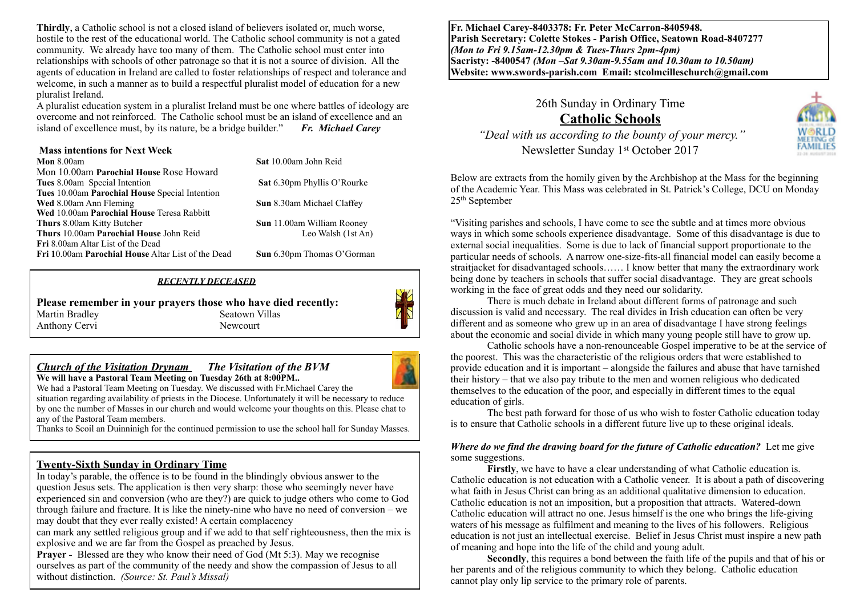**Thirdly**, a Catholic school is not a closed island of believers isolated or, much worse, hostile to the rest of the educational world. The Catholic school community is not a gated community. We already have too many of them. The Catholic school must enter into relationships with schools of other patronage so that it is not a source of division. All the agents of education in Ireland are called to foster relationships of respect and tolerance and welcome, in such a manner as to build a respectful pluralist model of education for a new pluralist Ireland.

A pluralist education system in a pluralist Ireland must be one where battles of ideology are overcome and not reinforced. The Catholic school must be an island of excellence and an island of excellence must, by its nature, be a bridge builder." *Fr. Michael Carey*

| <b>Mass intentions for Next Week</b>               |                             |
|----------------------------------------------------|-----------------------------|
| <b>Mon</b> $8.00am$                                | Sat 10.00am John Reid       |
| Mon 10.00am Parochial House Rose Howard            |                             |
| <b>Tues</b> 8.00am Special Intention               | Sat 6.30pm Phyllis O'Rourke |
| Tues 10.00am Parochial House Special Intention     |                             |
| Wed 8.00am Ann Fleming                             | Sun 8.30am Michael Claffey  |
| Wed 10.00am Parochial House Teresa Rabbitt         |                             |
| <b>Thurs</b> 8.00am Kitty Butcher                  | Sun 11.00am William Rooney  |
| Thurs 10.00am Parochial House John Reid            | Leo Walsh (1st An)          |
| <b>Fri</b> 8.00am Altar List of the Dead           |                             |
| Fri 10.00am Parochial House Altar List of the Dead | Sun 6.30pm Thomas O'Gorman  |

#### *RECENTLY DECEASED*

**Please remember in your prayers those who have died recently:** Martin Bradley Seatown Villas Anthony Cervi Newcourt



#### *Church of the Visitation Drynam**The Visitation of the BVM* **We will have a Pastoral Team Meeting on Tuesday 26th at 8:00PM..**

We had a Pastoral Team Meeting on Tuesday. We discussed with Fr.Michael Carey the situation regarding availability of priests in the Diocese. Unfortunately it will be necessary to reduce by one the number of Masses in our church and would welcome your thoughts on this. Please chat to any of the Pastoral Team members.

Thanks to Scoil an Duinninigh for the continued permission to use the school hall for Sunday Masses.

### **Twenty-Sixth Sunday in Ordinary Time**

In today's parable, the offence is to be found in the blindingly obvious answer to the question Jesus sets. The application is then very sharp: those who seemingly never have experienced sin and conversion (who are they?) are quick to judge others who come to God through failure and fracture. It is like the ninety-nine who have no need of conversion – we may doubt that they ever really existed! A certain complacency

can mark any settled religious group and if we add to that self righteousness, then the mix is explosive and we are far from the Gospel as preached by Jesus.

**Prayer -** Blessed are they who know their need of God (Mt 5:3). May we recognise ourselves as part of the community of the needy and show the compassion of Jesus to all without distinction. *(Source: St. Paul's Missal)*

**Fr. Michael Carey-8403378: Fr. Peter McCarron-8405948. Parish Secretary: Colette Stokes - Parish Office, Seatown Road-8407277**  *(Mon to Fri 9.15am-12.30pm & Tues-Thurs 2pm-4pm)*  **Sacristy: -8400547** *(Mon –Sat 9.30am-9.55am and 10.30am to 10.50am)* **Website: [www.swords-parish.com Email:](http://www.swords-parish.com%20%20email) stcolmcilleschurch@gmail.com**

> 26th Sunday in Ordinary Time **Catholic Schools**



 *"Deal with us according to the bounty of your mercy."*  Newsletter Sunday 1st October 2017

Below are extracts from the homily given by the Archbishop at the Mass for the beginning of the Academic Year. This Mass was celebrated in St. Patrick's College, DCU on Monday 25th September

"Visiting parishes and schools, I have come to see the subtle and at times more obvious ways in which some schools experience disadvantage. Some of this disadvantage is due to external social inequalities. Some is due to lack of financial support proportionate to the particular needs of schools. A narrow one-size-fits-all financial model can easily become a straitjacket for disadvantaged schools…… I know better that many the extraordinary work being done by teachers in schools that suffer social disadvantage. They are great schools working in the face of great odds and they need our solidarity.

There is much debate in Ireland about different forms of patronage and such discussion is valid and necessary. The real divides in Irish education can often be very different and as someone who grew up in an area of disadvantage I have strong feelings about the economic and social divide in which many young people still have to grow up.

 Catholic schools have a non-renounceable Gospel imperative to be at the service of the poorest. This was the characteristic of the religious orders that were established to provide education and it is important – alongside the failures and abuse that have tarnished their history – that we also pay tribute to the men and women religious who dedicated themselves to the education of the poor, and especially in different times to the equal education of girls.

 The best path forward for those of us who wish to foster Catholic education today is to ensure that Catholic schools in a different future live up to these original ideals.

#### *Where do we find the drawing board for the future of Catholic education?* Let me give some suggestions.

**Firstly**, we have to have a clear understanding of what Catholic education is. Catholic education is not education with a Catholic veneer. It is about a path of discovering what faith in Jesus Christ can bring as an additional qualitative dimension to education. Catholic education is not an imposition, but a proposition that attracts. Watered-down Catholic education will attract no one. Jesus himself is the one who brings the life-giving waters of his message as fulfilment and meaning to the lives of his followers. Religious education is not just an intellectual exercise. Belief in Jesus Christ must inspire a new path of meaning and hope into the life of the child and young adult.

**Secondly**, this requires a bond between the faith life of the pupils and that of his or her parents and of the religious community to which they belong. Catholic education cannot play only lip service to the primary role of parents.